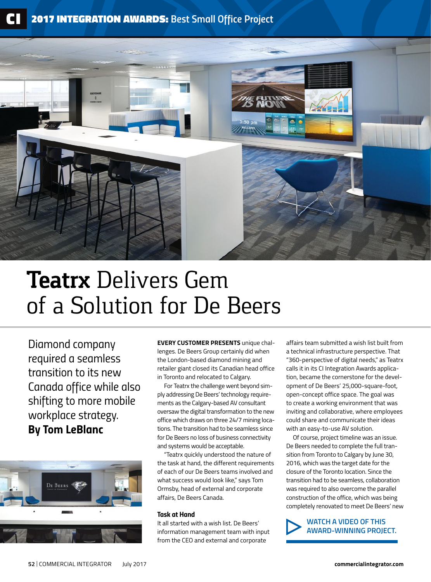

# **Teatrx** Delivers Gem of a Solution for De Beers

*Diamond company required a seamless transition to its new Canada office while also shifting to more mobile workplace strategy. By Tom LeBlanc*



**EVERY CUSTOMER PRESENTS** unique challenges. De Beers Group certainly did when the London-based diamond mining and retailer giant closed its Canadian head office in Toronto and relocated to Calgary.

For Teatrx the challenge went beyond simply addressing De Beers' technology requirements as the Calgary-based AV consultant oversaw the digital transformation to the new office which draws on three 24/7 mining locations. The transition had to be seamless since for De Beers no loss of business connectivity and systems would be acceptable.

"Teatrx quickly understood the nature of the task at hand, the different requirements of each of our De Beers teams involved and what success would look like," says Tom Ormsby, head of external and corporate affairs, De Beers Canada.

#### *Task at Hand*

It all started with a wish list. De Beers' information management team with input from the CEO and external and corporate

affairs team submitted a wish list built from a technical infrastructure perspective. That "360-perspective of digital needs," as Teatrx calls it in its CI Integration Awards application, became the cornerstone for the development of De Beers' 25,000-square-foot, open-concept office space. The goal was to create a working environment that was inviting and collaborative, where employees could share and communicate their ideas with an easy-to-use AV solution.

Of course, project timeline was an issue. De Beers needed to complete the full transition from Toronto to Calgary by June 30, 2016, which was the target date for the closure of the Toronto location. Since the transition had to be seamless, collaboration was required to also overcome the parallel construction of the office, which was being completely renovated to meet De Beers' new

**WATCH A VIDEO OF THIS [AWARD-WINNING PROJECT.](http://calgary.ctvnews.ca/video?clipId=905875)**